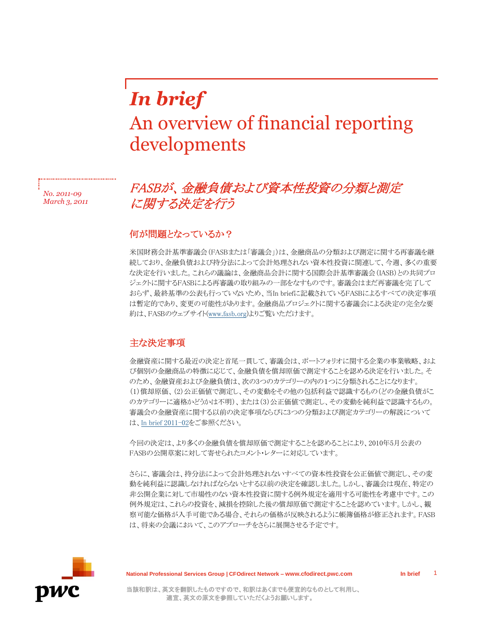# *In brief* An overview of financial reporting developments

*No. 2011-09 March 3, 2011*

## FASBが、金融負債および資本性投資の分類と測定 に関する決定を行う

#### 何が問題となっているか?

米国財務会計基準審議会(FASBまたは「審議会」)は、金融商品の分類および測定に関する再審議を継 続しており、金融負債および持分法によって会計処理されない資本性投資に関連して、今週、多くの重要 な決定を行いました。これらの議論は、金融商品会計に関する国際会計基準審議会(IASB)との共同プロ ジェクトに関するFASBによる再審議の取り組みの一部をなすものです。審議会はまだ再審議を完了して おらず、最終基準の公表も行っていないため、当In briefに記載されているFASBによるすべての決定事項 は暫定的であり、変更の可能性があります。金融商品プロジェクトに関する審議会による決定の完全な要 約は、FASBのウェブサイト[\(www.fasb.org\)](http://www.fasb.org/home)よりご覧いただけます。

### 主な決定事項

金融資産に関する最近の決定と首尾一貫して、審議会は、ポートフォリオに関する企業の事業戦略、およ び個別の金融商品の特徴に応じて、金融負債を償却原価で測定することを認める決定を行いました。そ のため、金融資産および金融負債は、次の3つのカテゴリーの内の1つに分類されることになります。 (1)償却原価、(2)公正価値で測定し、その変動をその他の包括利益で認識するもの(どの金融負債がこ のカテゴリーに適格かどうかは不明)、または(3)公正価値で測定し、その変動を純利益で認識するもの。 審議会の金融資産に関する以前の決定事項ならびに3つの分類および測定カテゴリーの解説について は[、In brief 2011-02を](http://cfodirect.pwc.com/CFODirectWeb/Controller.jpf?ContentCode=MSRA-8DFW2Z&SecNavCode=MSRA-84YH44&ContentType=Content)ご参照ください。

今回の決定は、より多くの金融負債を償却原価で測定することを認めることにより、2010年5月公表の FASBの公開草案に対して寄せられたコメント・レターに対応しています。

さらに、審議会は、持分法によって会計処理されないすべての資本性投資を公正価値で測定し、その変 動を純利益に認識しなければならないとする以前の決定を確認しました。しかし、審議会は現在、特定の 非公開企業に対して市場性のない資本性投資に関する例外規定を適用する可能性を考慮中です。この 例外規定は、これらの投資を、減損を控除した後の償却原価で測定することを認めています。しかし、観 察可能な価格が入手可能である場合、それらの価格が反映されるように帳簿価格が修正されます。FASB は、将来の会議において、このアプローチをさらに展開させる予定です。



**National Professional Services Group | CFOdirect Network – www.cfodirect.pwc.com In brief**